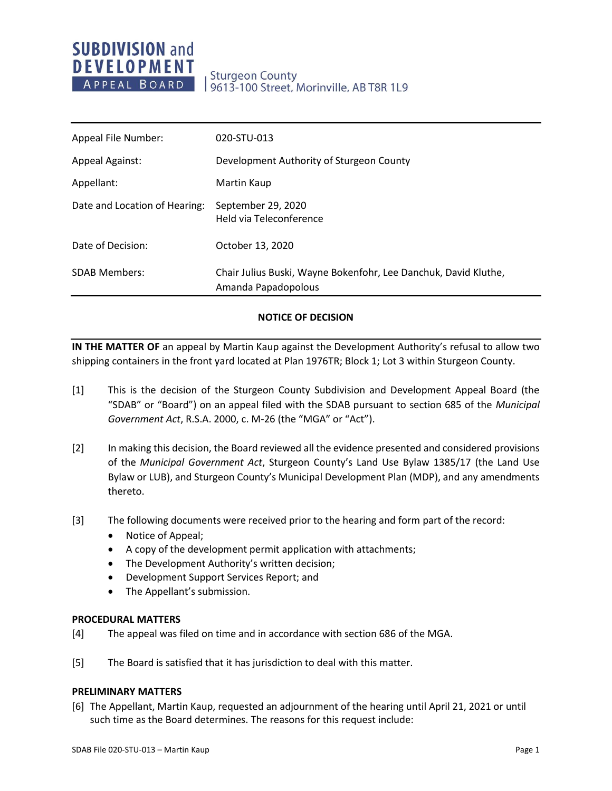# **SUBDIVISION and DEVELOPMENT** APPEAL BOARD

# **Sturgeon County** 9613-100 Street, Morinville, AB T8R 1L9

| Appeal File Number:           | 020-STU-013                                                                            |
|-------------------------------|----------------------------------------------------------------------------------------|
| <b>Appeal Against:</b>        | Development Authority of Sturgeon County                                               |
| Appellant:                    | Martin Kaup                                                                            |
| Date and Location of Hearing: | September 29, 2020<br>Held via Teleconference                                          |
| Date of Decision:             | October 13, 2020                                                                       |
| <b>SDAB Members:</b>          | Chair Julius Buski, Wayne Bokenfohr, Lee Danchuk, David Kluthe,<br>Amanda Papadopolous |

## **NOTICE OF DECISION**

**IN THE MATTER OF** an appeal by Martin Kaup against the Development Authority's refusal to allow two shipping containers in the front yard located at Plan 1976TR; Block 1; Lot 3 within Sturgeon County.

- [1] This is the decision of the Sturgeon County Subdivision and Development Appeal Board (the "SDAB" or "Board") on an appeal filed with the SDAB pursuant to section 685 of the *Municipal Government Act*, R.S.A. 2000, c. M-26 (the "MGA" or "Act").
- [2] In making this decision, the Board reviewed all the evidence presented and considered provisions of the *Municipal Government Act*, Sturgeon County's Land Use Bylaw 1385/17 (the Land Use Bylaw or LUB), and Sturgeon County's Municipal Development Plan (MDP), and any amendments thereto.
- [3] The following documents were received prior to the hearing and form part of the record:
	- Notice of Appeal;
	- A copy of the development permit application with attachments;
	- The Development Authority's written decision;
	- Development Support Services Report; and
	- The Appellant's submission.

### **PROCEDURAL MATTERS**

- [4] The appeal was filed on time and in accordance with section 686 of the MGA.
- [5] The Board is satisfied that it has jurisdiction to deal with this matter.

### **PRELIMINARY MATTERS**

[6] The Appellant, Martin Kaup, requested an adjournment of the hearing until April 21, 2021 or until such time as the Board determines. The reasons for this request include: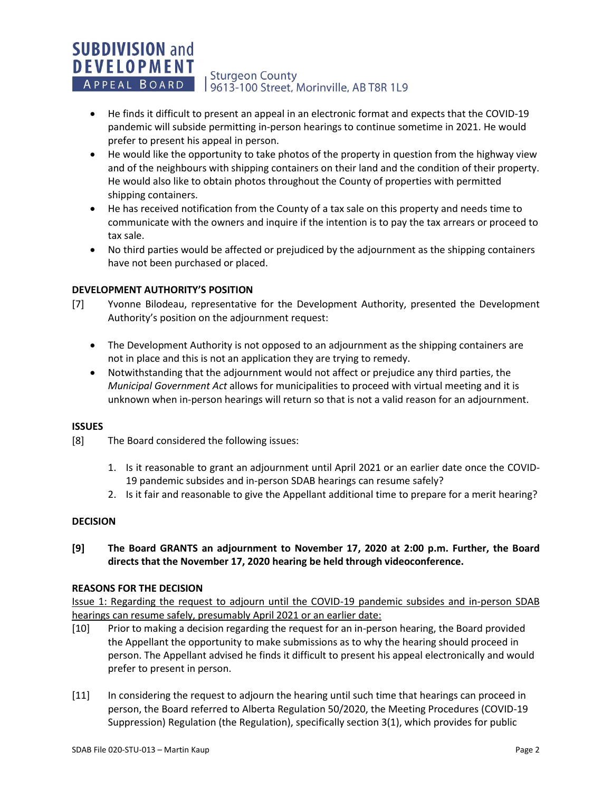### **SUBDIVISION and DEVELOPMENT Sturgeon County** APPEAL BOARD 19613-100 Street, Morinville, AB T8R 1L9

- He finds it difficult to present an appeal in an electronic format and expects that the COVID-19 pandemic will subside permitting in-person hearings to continue sometime in 2021. He would prefer to present his appeal in person.
- He would like the opportunity to take photos of the property in question from the highway view and of the neighbours with shipping containers on their land and the condition of their property. He would also like to obtain photos throughout the County of properties with permitted shipping containers.
- He has received notification from the County of a tax sale on this property and needs time to communicate with the owners and inquire if the intention is to pay the tax arrears or proceed to tax sale.
- No third parties would be affected or prejudiced by the adjournment as the shipping containers have not been purchased or placed.

## **DEVELOPMENT AUTHORITY'S POSITION**

- [7] Yvonne Bilodeau, representative for the Development Authority, presented the Development Authority's position on the adjournment request:
	- The Development Authority is not opposed to an adjournment as the shipping containers are not in place and this is not an application they are trying to remedy.
	- Notwithstanding that the adjournment would not affect or prejudice any third parties, the *Municipal Government Act* allows for municipalities to proceed with virtual meeting and it is unknown when in-person hearings will return so that is not a valid reason for an adjournment.

## **ISSUES**

[8] The Board considered the following issues:

- 1. Is it reasonable to grant an adjournment until April 2021 or an earlier date once the COVID-19 pandemic subsides and in-person SDAB hearings can resume safely?
- 2. Is it fair and reasonable to give the Appellant additional time to prepare for a merit hearing?

## **DECISION**

# **[9] The Board GRANTS an adjournment to November 17, 2020 at 2:00 p.m. Further, the Board directs that the November 17, 2020 hearing be held through videoconference.**

### **REASONS FOR THE DECISION**

Issue 1: Regarding the request to adjourn until the COVID-19 pandemic subsides and in-person SDAB hearings can resume safely, presumably April 2021 or an earlier date:

- [10] Prior to making a decision regarding the request for an in-person hearing, the Board provided the Appellant the opportunity to make submissions as to why the hearing should proceed in person. The Appellant advised he finds it difficult to present his appeal electronically and would prefer to present in person.
- [11] In considering the request to adjourn the hearing until such time that hearings can proceed in person, the Board referred to Alberta Regulation 50/2020, the Meeting Procedures (COVID-19 Suppression) Regulation (the Regulation), specifically section 3(1), which provides for public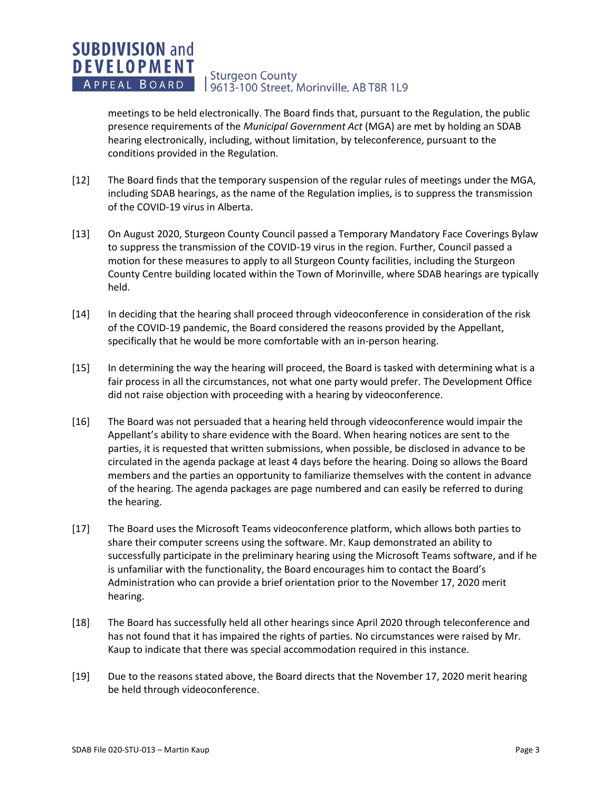#### **SUBDIVISION and DEVELOPMENT Sturgeon County** APPEAL BOARD 19613-100 Street, Morinville, AB T8R 1L9

meetings to be held electronically. The Board finds that, pursuant to the Regulation, the public presence requirements of the *Municipal Government Act* (MGA) are met by holding an SDAB hearing electronically, including, without limitation, by teleconference, pursuant to the conditions provided in the Regulation.

- [12] The Board finds that the temporary suspension of the regular rules of meetings under the MGA, including SDAB hearings, as the name of the Regulation implies, is to suppress the transmission of the COVID-19 virus in Alberta.
- [13] On August 2020, Sturgeon County Council passed a Temporary Mandatory Face Coverings Bylaw to suppress the transmission of the COVID-19 virus in the region. Further, Council passed a motion for these measures to apply to all Sturgeon County facilities, including the Sturgeon County Centre building located within the Town of Morinville, where SDAB hearings are typically held.
- [14] In deciding that the hearing shall proceed through videoconference in consideration of the risk of the COVID-19 pandemic, the Board considered the reasons provided by the Appellant, specifically that he would be more comfortable with an in-person hearing.
- [15] In determining the way the hearing will proceed, the Board is tasked with determining what is a fair process in all the circumstances, not what one party would prefer. The Development Office did not raise objection with proceeding with a hearing by videoconference.
- [16] The Board was not persuaded that a hearing held through videoconference would impair the Appellant's ability to share evidence with the Board. When hearing notices are sent to the parties, it is requested that written submissions, when possible, be disclosed in advance to be circulated in the agenda package at least 4 days before the hearing. Doing so allows the Board members and the parties an opportunity to familiarize themselves with the content in advance of the hearing. The agenda packages are page numbered and can easily be referred to during the hearing.
- [17] The Board uses the Microsoft Teams videoconference platform, which allows both parties to share their computer screens using the software. Mr. Kaup demonstrated an ability to successfully participate in the preliminary hearing using the Microsoft Teams software, and if he is unfamiliar with the functionality, the Board encourages him to contact the Board's Administration who can provide a brief orientation prior to the November 17, 2020 merit hearing.
- [18] The Board has successfully held all other hearings since April 2020 through teleconference and has not found that it has impaired the rights of parties. No circumstances were raised by Mr. Kaup to indicate that there was special accommodation required in this instance.
- [19] Due to the reasons stated above, the Board directs that the November 17, 2020 merit hearing be held through videoconference.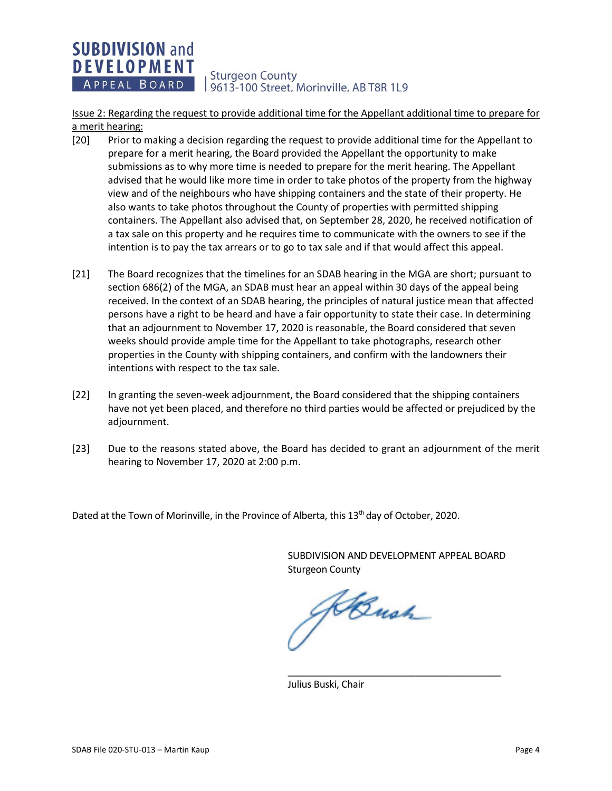#### **SUBDIVISION and DEVELOPMENT Sturgeon County** APPEAL BOARD 9613-100 Street, Morinville, AB T8R 1L9

Issue 2: Regarding the request to provide additional time for the Appellant additional time to prepare for a merit hearing:

- [20] Prior to making a decision regarding the request to provide additional time for the Appellant to prepare for a merit hearing, the Board provided the Appellant the opportunity to make submissions as to why more time is needed to prepare for the merit hearing. The Appellant advised that he would like more time in order to take photos of the property from the highway view and of the neighbours who have shipping containers and the state of their property. He also wants to take photos throughout the County of properties with permitted shipping containers. The Appellant also advised that, on September 28, 2020, he received notification of a tax sale on this property and he requires time to communicate with the owners to see if the intention is to pay the tax arrears or to go to tax sale and if that would affect this appeal.
- [21] The Board recognizes that the timelines for an SDAB hearing in the MGA are short; pursuant to section 686(2) of the MGA, an SDAB must hear an appeal within 30 days of the appeal being received. In the context of an SDAB hearing, the principles of natural justice mean that affected persons have a right to be heard and have a fair opportunity to state their case. In determining that an adjournment to November 17, 2020 is reasonable, the Board considered that seven weeks should provide ample time for the Appellant to take photographs, research other properties in the County with shipping containers, and confirm with the landowners their intentions with respect to the tax sale.
- [22] In granting the seven-week adjournment, the Board considered that the shipping containers have not yet been placed, and therefore no third parties would be affected or prejudiced by the adjournment.
- [23] Due to the reasons stated above, the Board has decided to grant an adjournment of the merit hearing to November 17, 2020 at 2:00 p.m.

Dated at the Town of Morinville, in the Province of Alberta, this 13<sup>th</sup> day of October, 2020.

SUBDIVISION AND DEVELOPMENT APPEAL BOARD Sturgeon County

\_\_\_\_\_\_\_\_\_\_\_\_\_\_\_\_\_\_\_\_\_\_\_\_\_\_\_\_\_\_\_\_\_\_\_\_\_\_\_\_

J Bush

Julius Buski, Chair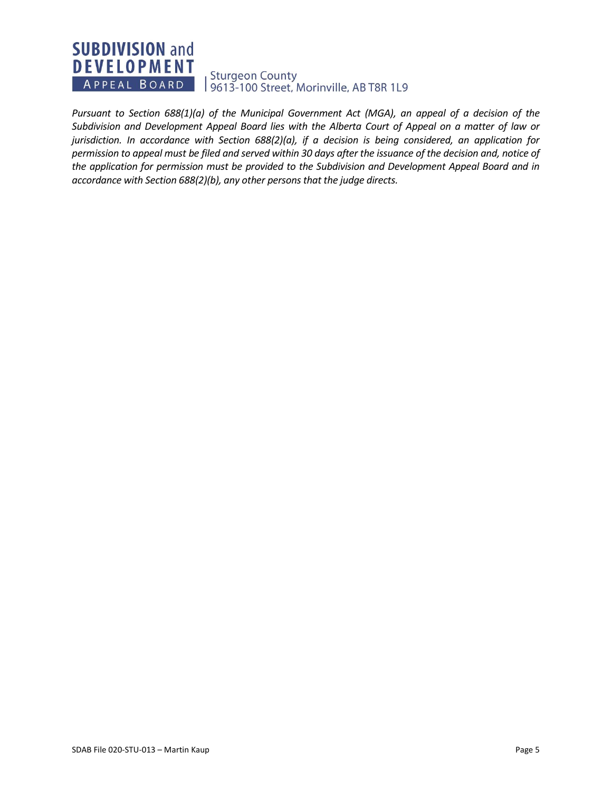# **SUBDIVISION and DEVELOPMENT** Sturgeon County<br>| 9613-100 Street, Morinville, AB T8R 1L9 APPEAL BOARD

*Pursuant to Section 688(1)(a) of the Municipal Government Act (MGA), an appeal of a decision of the Subdivision and Development Appeal Board lies with the Alberta Court of Appeal on a matter of law or jurisdiction. In accordance with Section 688(2)(a), if a decision is being considered, an application for permission to appeal must be filed and served within 30 days after the issuance of the decision and, notice of the application for permission must be provided to the Subdivision and Development Appeal Board and in accordance with Section 688(2)(b), any other persons that the judge directs.*